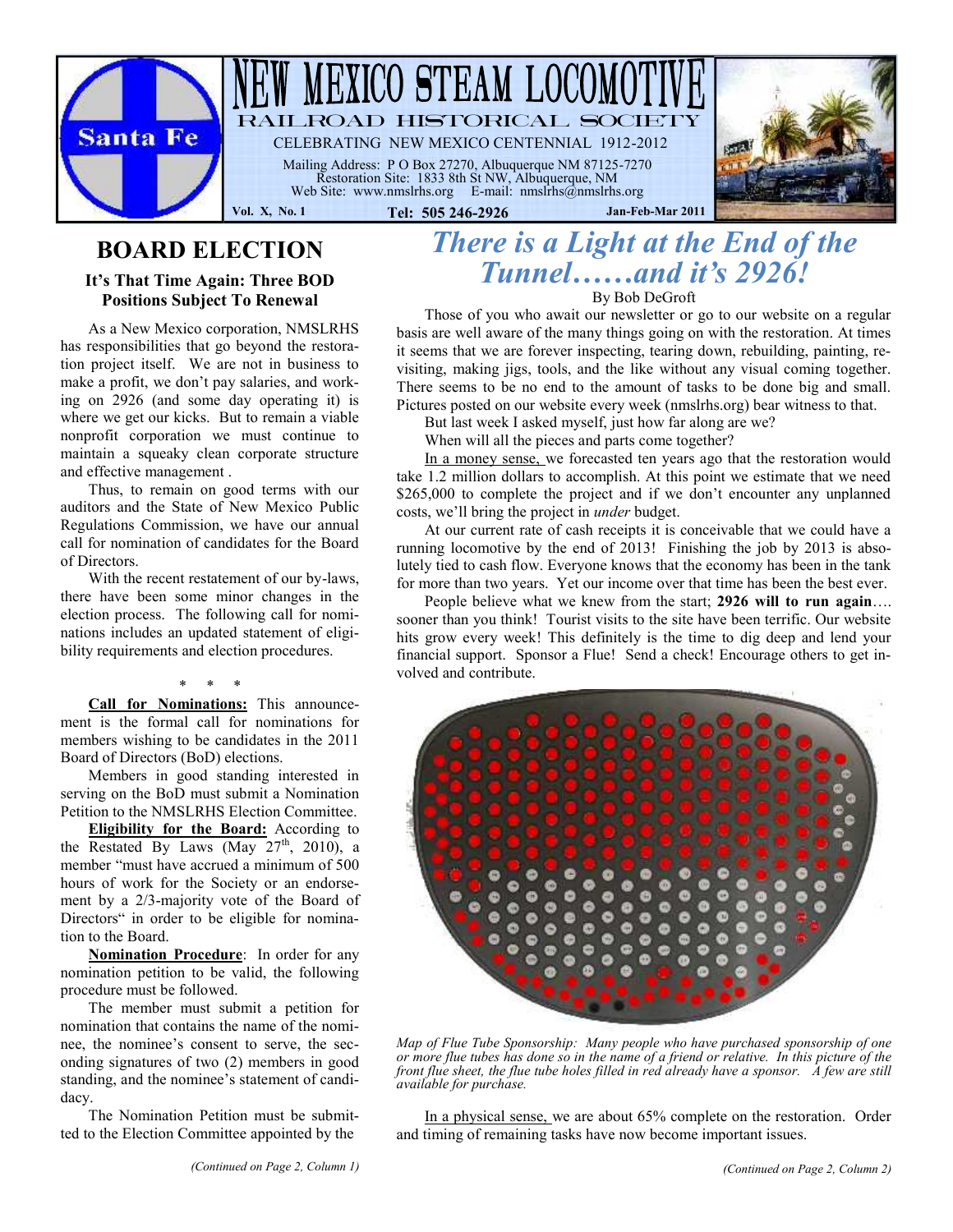

# **BOARD ELECTION**

#### **It's That Time Again: Three BOD Positions Subject To Renewal**

As a New Mexico corporation, NMSLRHS has responsibilities that go beyond the restoration project itself. We are not in business to make a profit, we don't pay salaries, and working on 2926 (and some day operating it) is where we get our kicks. But to remain a viable nonprofit corporation we must continue to maintain a squeaky clean corporate structure and effective management .

Thus, to remain on good terms with our auditors and the State of New Mexico Public Regulations Commission, we have our annual call for nomination of candidates for the Board of Directors.

With the recent restatement of our by-laws, there have been some minor changes in the election process. The following call for nominations includes an updated statement of eligibility requirements and election procedures.

\* \* \*

**Call for Nominations:** This announcement is the formal call for nominations for

Board of Directors (BoD) elections. Members in good standing interested in serving on the BoD must submit a Nomination Petition to the NMSLRHS Election Committee.

members wishing to be candidates in the 2011

**Eligibility for the Board:** According to the Restated By Laws (May  $27<sup>th</sup>$ , 2010), a member "must have accrued a minimum of 500 hours of work for the Society or an endorsement by a 2/3-majority vote of the Board of Directors" in order to be eligible for nomination to the Board.

**Nomination Procedure**: In order for any nomination petition to be valid, the following procedure must be followed.

The member must submit a petition for nomination that contains the name of the nominee, the nominee's consent to serve, the seconding signatures of two (2) members in good standing, and the nominee's statement of candidacy.

The Nomination Petition must be submitted to the Election Committee appointed by the

## *There is a Light at the End of the Tunnel……and it's 2926!*

By Bob DeGroft

Those of you who await our newsletter or go to our website on a regular basis are well aware of the many things going on with the restoration. At times it seems that we are forever inspecting, tearing down, rebuilding, painting, revisiting, making jigs, tools, and the like without any visual coming together. There seems to be no end to the amount of tasks to be done big and small. Pictures posted on our website every week (nmslrhs.org) bear witness to that.

But last week I asked myself, just how far along are we?

When will all the pieces and parts come together?

In a money sense, we forecasted ten years ago that the restoration would take 1.2 million dollars to accomplish. At this point we estimate that we need \$265,000 to complete the project and if we don't encounter any unplanned costs, we'll bring the project in *under* budget.

At our current rate of cash receipts it is conceivable that we could have a running locomotive by the end of 2013! Finishing the job by 2013 is absolutely tied to cash flow. Everyone knows that the economy has been in the tank for more than two years. Yet our income over that time has been the best ever.

People believe what we knew from the start; **2926 will to run again**…. sooner than you think! Tourist visits to the site have been terrific. Our website hits grow every week! This definitely is the time to dig deep and lend your financial support. Sponsor a Flue! Send a check! Encourage others to get involved and contribute.



*Map of Flue Tube Sponsorship: Many people who have purchased sponsorship of one or more flue tubes has done so in the name of a friend or relative. In this picture of the front flue sheet, the flue tube holes filled in red already have a sponsor. A few are still available for purchase.*

In a physical sense, we are about 65% complete on the restoration. Order and timing of remaining tasks have now become important issues.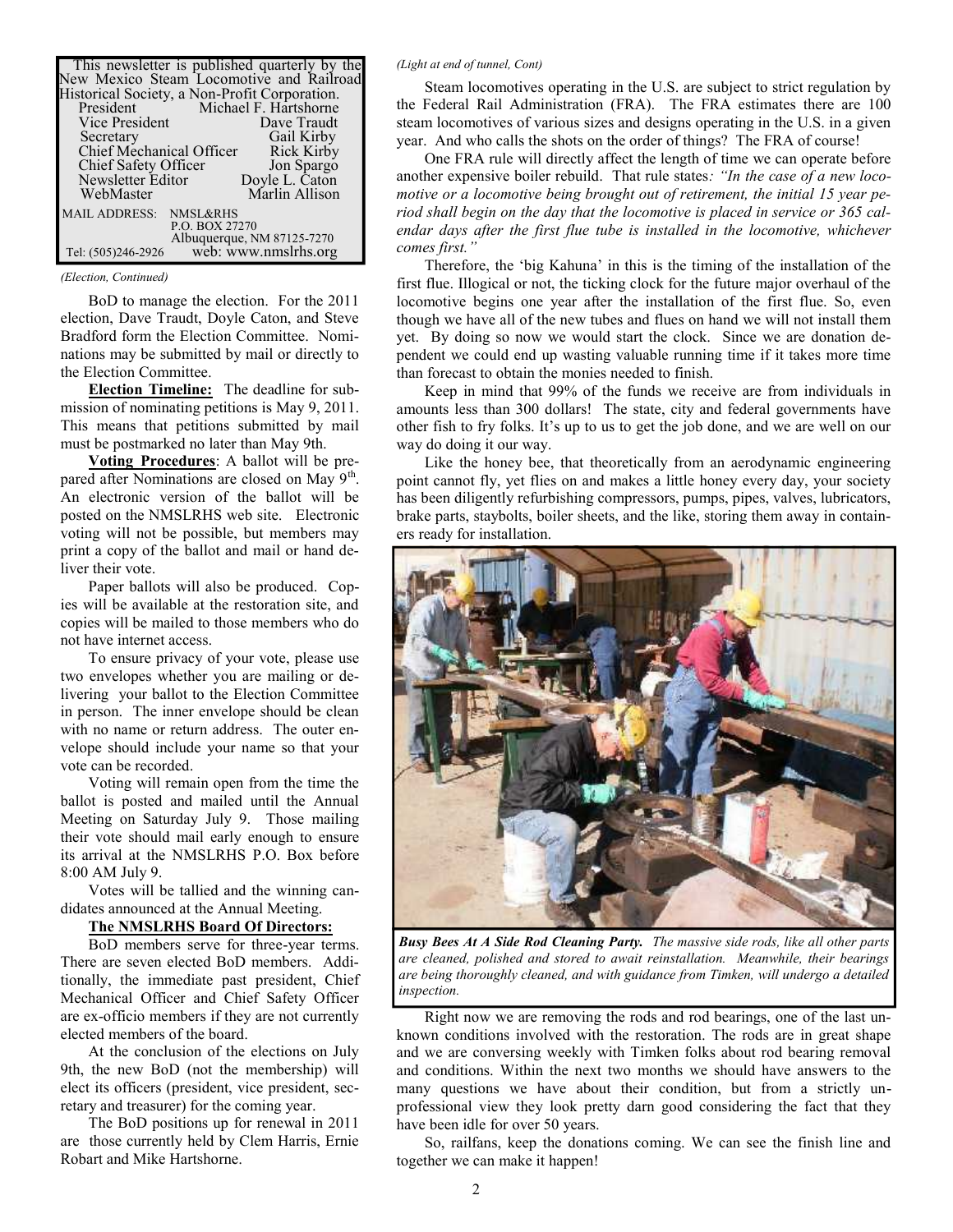|                                               |                     | This newsletter is published quarterly by the<br>New Mexico Steam Locomotive and Railroad |
|-----------------------------------------------|---------------------|-------------------------------------------------------------------------------------------|
| Historical Society, a Non-Profit Corporation. |                     |                                                                                           |
| President                                     |                     | Michael F. Hartshorne                                                                     |
| Vice President                                |                     | Dave Traudt                                                                               |
| Secretary                                     |                     | Gail Kirby                                                                                |
| Chief Mechanical Officer                      |                     | Rick Kirby                                                                                |
| Chief Safety Officer                          |                     | Jon Spargo                                                                                |
| Newsletter Editor                             |                     | Doyle L. Caton                                                                            |
| WebMaster                                     |                     | Marlin Allison                                                                            |
| <b>MAIL ADDRESS:</b>                          | <b>NMSL&amp;RHS</b> |                                                                                           |
| P.O. BOX 27270                                |                     |                                                                                           |
| Albuquerque, NM 87125-7270                    |                     |                                                                                           |
| Tel: (505)246-2926                            |                     | web: www.nmslrhs.org                                                                      |

#### *(Election, Continued)*

BoD to manage the election. For the 2011 election, Dave Traudt, Doyle Caton, and Steve Bradford form the Election Committee. Nominations may be submitted by mail or directly to the Election Committee.

**Election Timeline:** The deadline for submission of nominating petitions is May 9, 2011. This means that petitions submitted by mail must be postmarked no later than May 9th.

**Voting Procedures**: A ballot will be prepared after Nominations are closed on May 9<sup>th</sup>. An electronic version of the ballot will be posted on the NMSLRHS web site. Electronic voting will not be possible, but members may print a copy of the ballot and mail or hand deliver their vote.

Paper ballots will also be produced. Copies will be available at the restoration site, and copies will be mailed to those members who do not have internet access.

To ensure privacy of your vote, please use two envelopes whether you are mailing or delivering your ballot to the Election Committee in person. The inner envelope should be clean with no name or return address. The outer envelope should include your name so that your vote can be recorded.

Voting will remain open from the time the ballot is posted and mailed until the Annual Meeting on Saturday July 9. Those mailing their vote should mail early enough to ensure its arrival at the NMSLRHS P.O. Box before 8:00 AM July 9.

Votes will be tallied and the winning candidates announced at the Annual Meeting.

#### **The NMSLRHS Board Of Directors:**

BoD members serve for three-year terms. There are seven elected BoD members. Additionally, the immediate past president, Chief Mechanical Officer and Chief Safety Officer are ex-officio members if they are not currently elected members of the board.

At the conclusion of the elections on July 9th, the new BoD (not the membership) will elect its officers (president, vice president, secretary and treasurer) for the coming year.

The BoD positions up for renewal in 2011 are those currently held by Clem Harris, Ernie Robart and Mike Hartshorne.

#### *(Light at end of tunnel, Cont)*

Steam locomotives operating in the U.S. are subject to strict regulation by the Federal Rail Administration (FRA). The FRA estimates there are 100 steam locomotives of various sizes and designs operating in the U.S. in a given year. And who calls the shots on the order of things? The FRA of course!

One FRA rule will directly affect the length of time we can operate before another expensive boiler rebuild. That rule states*: "In the case of a new locomotive or a locomotive being brought out of retirement, the initial 15 year period shall begin on the day that the locomotive is placed in service or 365 calendar days after the first flue tube is installed in the locomotive, whichever comes first."*

Therefore, the 'big Kahuna' in this is the timing of the installation of the first flue. Illogical or not, the ticking clock for the future major overhaul of the locomotive begins one year after the installation of the first flue. So, even though we have all of the new tubes and flues on hand we will not install them yet. By doing so now we would start the clock. Since we are donation dependent we could end up wasting valuable running time if it takes more time than forecast to obtain the monies needed to finish.

Keep in mind that 99% of the funds we receive are from individuals in amounts less than 300 dollars! The state, city and federal governments have other fish to fry folks. It's up to us to get the job done, and we are well on our way do doing it our way.

Like the honey bee, that theoretically from an aerodynamic engineering point cannot fly, yet flies on and makes a little honey every day, your society has been diligently refurbishing compressors, pumps, pipes, valves, lubricators, brake parts, staybolts, boiler sheets, and the like, storing them away in containers ready for installation.



*Busy Bees At A Side Rod Cleaning Party. The massive side rods, like all other parts are cleaned, polished and stored to await reinstallation. Meanwhile, their bearings are being thoroughly cleaned, and with guidance from Timken, will undergo a detailed inspection.*

Right now we are removing the rods and rod bearings, one of the last unknown conditions involved with the restoration. The rods are in great shape and we are conversing weekly with Timken folks about rod bearing removal and conditions. Within the next two months we should have answers to the many questions we have about their condition, but from a strictly unprofessional view they look pretty darn good considering the fact that they have been idle for over 50 years.

So, railfans, keep the donations coming. We can see the finish line and together we can make it happen!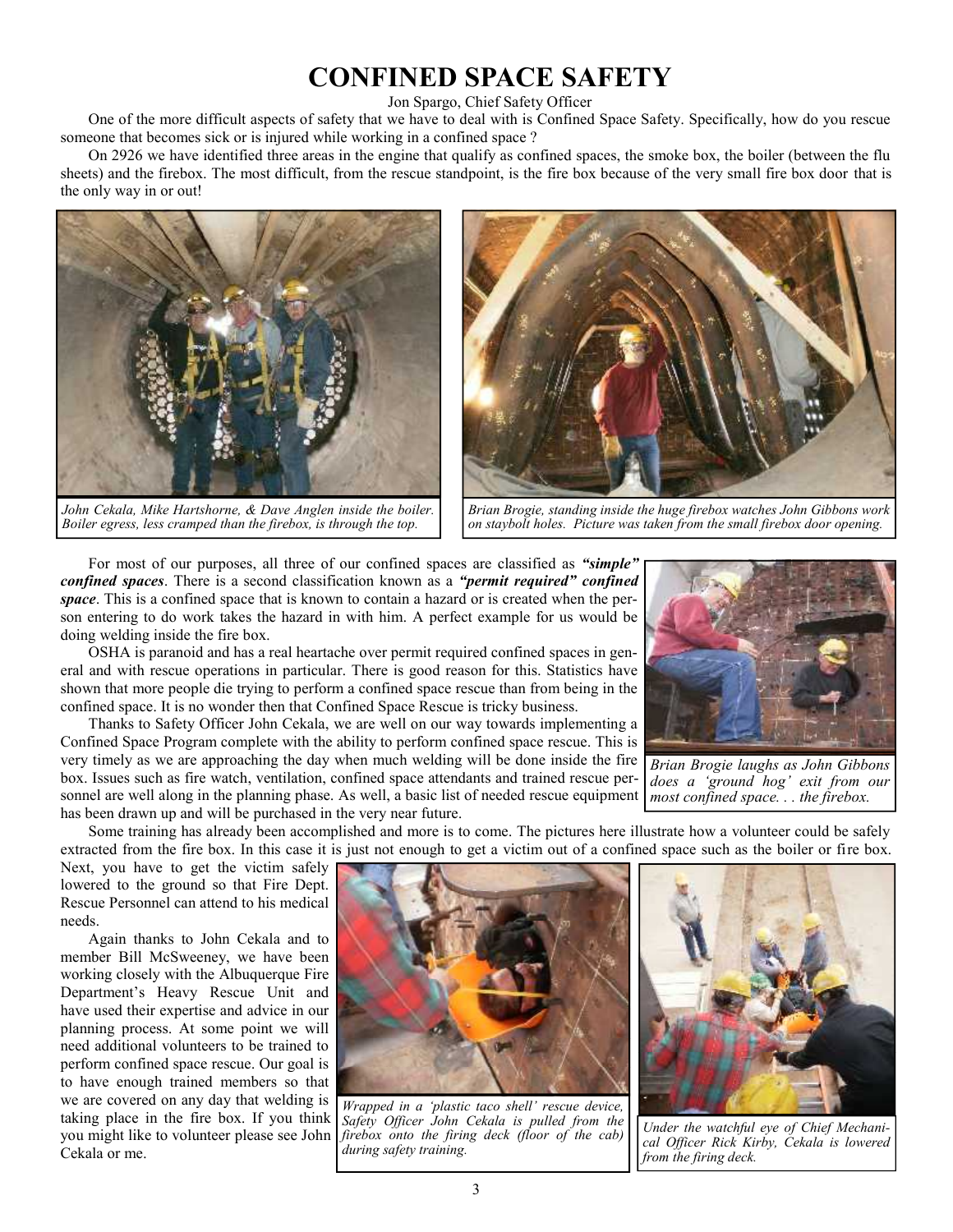## **CONFINED SPACE SAFETY**

#### Jon Spargo, Chief Safety Officer

One of the more difficult aspects of safety that we have to deal with is Confined Space Safety. Specifically, how do you rescue someone that becomes sick or is injured while working in a confined space ?

On 2926 we have identified three areas in the engine that qualify as confined spaces, the smoke box, the boiler (between the flu sheets) and the firebox. The most difficult, from the rescue standpoint, is the fire box because of the very small fire box door that is the only way in or out!



*John Cekala, Mike Hartshorne, & Dave Anglen inside the boiler. Boiler egress, less cramped than the firebox, is through the top.*



*Brian Brogie, standing inside the huge firebox watches John Gibbons work on staybolt holes. Picture was taken from the small firebox door opening.*

For most of our purposes, all three of our confined spaces are classified as *"simple" confined spaces*. There is a second classification known as a *"permit required" confined space*. This is a confined space that is known to contain a hazard or is created when the person entering to do work takes the hazard in with him. A perfect example for us would be doing welding inside the fire box.

OSHA is paranoid and has a real heartache over permit required confined spaces in general and with rescue operations in particular. There is good reason for this. Statistics have shown that more people die trying to perform a confined space rescue than from being in the confined space. It is no wonder then that Confined Space Rescue is tricky business.

Thanks to Safety Officer John Cekala, we are well on our way towards implementing a Confined Space Program complete with the ability to perform confined space rescue. This is very timely as we are approaching the day when much welding will be done inside the fire box. Issues such as fire watch, ventilation, confined space attendants and trained rescue personnel are well along in the planning phase. As well, a basic list of needed rescue equipment has been drawn up and will be purchased in the very near future.



*Brian Brogie laughs as John Gibbons does a 'ground hog' exit from our most confined space. . . the firebox.*

Some training has already been accomplished and more is to come. The pictures here illustrate how a volunteer could be safely extracted from the fire box. In this case it is just not enough to get a victim out of a confined space such as the boiler or fire box.

Next, you have to get the victim safely lowered to the ground so that Fire Dept. Rescue Personnel can attend to his medical needs.

Again thanks to John Cekala and to member Bill McSweeney, we have been working closely with the Albuquerque Fire Department's Heavy Rescue Unit and have used their expertise and advice in our planning process. At some point we will need additional volunteers to be trained to perform confined space rescue. Our goal is to have enough trained members so that we are covered on any day that welding is taking place in the fire box. If you think you might like to volunteer please see John Cekala or me.



*Wrapped in a 'plastic taco shell' rescue device, Safety Officer John Cekala is pulled from the firebox onto the firing deck (floor of the cab) during safety training.*



*Under the watchful eye of Chief Mechanical Officer Rick Kirby, Cekala is lowered from the firing deck.*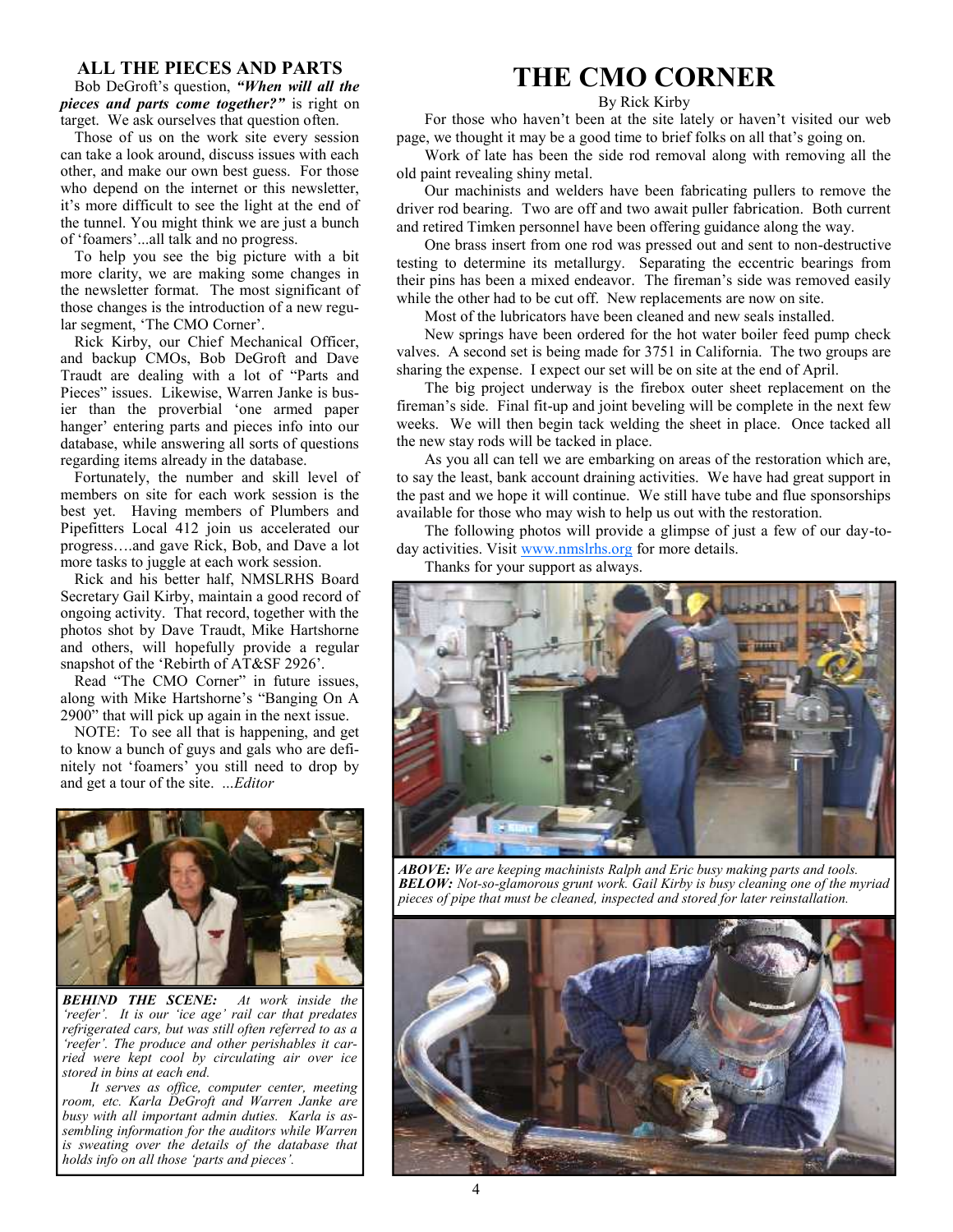#### **ALL THE PIECES AND PARTS**

Bob DeGroft's question, *"When will all the pieces and parts come together?"* is right on target. We ask ourselves that question often.

Those of us on the work site every session can take a look around, discuss issues with each other, and make our own best guess. For those who depend on the internet or this newsletter, it's more difficult to see the light at the end of the tunnel. You might think we are just a bunch of 'foamers'...all talk and no progress.

To help you see the big picture with a bit more clarity, we are making some changes in the newsletter format. The most significant of those changes is the introduction of a new regular segment, 'The CMO Corner'.

Rick Kirby, our Chief Mechanical Officer, and backup CMOs, Bob DeGroft and Dave Traudt are dealing with a lot of "Parts and Pieces" issues. Likewise, Warren Janke is busier than the proverbial 'one armed paper hanger' entering parts and pieces info into our database, while answering all sorts of questions regarding items already in the database.

Fortunately, the number and skill level of members on site for each work session is the best yet. Having members of Plumbers and Pipefitters Local 412 join us accelerated our progress….and gave Rick, Bob, and Dave a lot more tasks to juggle at each work session.

Rick and his better half, NMSLRHS Board Secretary Gail Kirby, maintain a good record of ongoing activity. That record, together with the photos shot by Dave Traudt, Mike Hartshorne and others, will hopefully provide a regular snapshot of the 'Rebirth of AT&SF 2926'.

Read "The CMO Corner" in future issues, along with Mike Hartshorne's "Banging On A 2900" that will pick up again in the next issue.

NOTE: To see all that is happening, and get to know a bunch of guys and gals who are definitely not 'foamers' you still need to drop by and get a tour of the site. ...*Editor*



*BEHIND THE SCENE: At work inside the 'reefer'. It is our 'ice age' rail car that predates refrigerated cars, but was still often referred to as a 'reefer'. The produce and other perishables it carried were kept cool by circulating air over ice stored in bins at each end.*

*It serves as office, computer center, meeting room, etc. Karla DeGroft and Warren Janke are busy with all important admin duties. Karla is assembling information for the auditors while Warren is sweating over the details of the database that holds info on all those 'parts and pieces'.*

## **THE CMO CORNER**

#### By Rick Kirby

For those who haven't been at the site lately or haven't visited our web page, we thought it may be a good time to brief folks on all that's going on.

Work of late has been the side rod removal along with removing all the old paint revealing shiny metal.

Our machinists and welders have been fabricating pullers to remove the driver rod bearing. Two are off and two await puller fabrication. Both current and retired Timken personnel have been offering guidance along the way.

One brass insert from one rod was pressed out and sent to non-destructive testing to determine its metallurgy. Separating the eccentric bearings from their pins has been a mixed endeavor. The fireman's side was removed easily while the other had to be cut off. New replacements are now on site.

Most of the lubricators have been cleaned and new seals installed.

New springs have been ordered for the hot water boiler feed pump check valves. A second set is being made for 3751 in California. The two groups are sharing the expense. I expect our set will be on site at the end of April.

The big project underway is the firebox outer sheet replacement on the fireman's side. Final fit-up and joint beveling will be complete in the next few weeks. We will then begin tack welding the sheet in place. Once tacked all the new stay rods will be tacked in place.

As you all can tell we are embarking on areas of the restoration which are, to say the least, bank account draining activities. We have had great support in the past and we hope it will continue. We still have tube and flue sponsorships available for those who may wish to help us out with the restoration.

The following photos will provide a glimpse of just a few of our day-today activities. Visit www.nmslrhs.org for more details.

Thanks for your support as always.



*ABOVE: We are keeping machinists Ralph and Eric busy making parts and tools. BELOW: Not-so-glamorous grunt work. Gail Kirby is busy cleaning one of the myriad pieces of pipe that must be cleaned, inspected and stored for later reinstallation.*

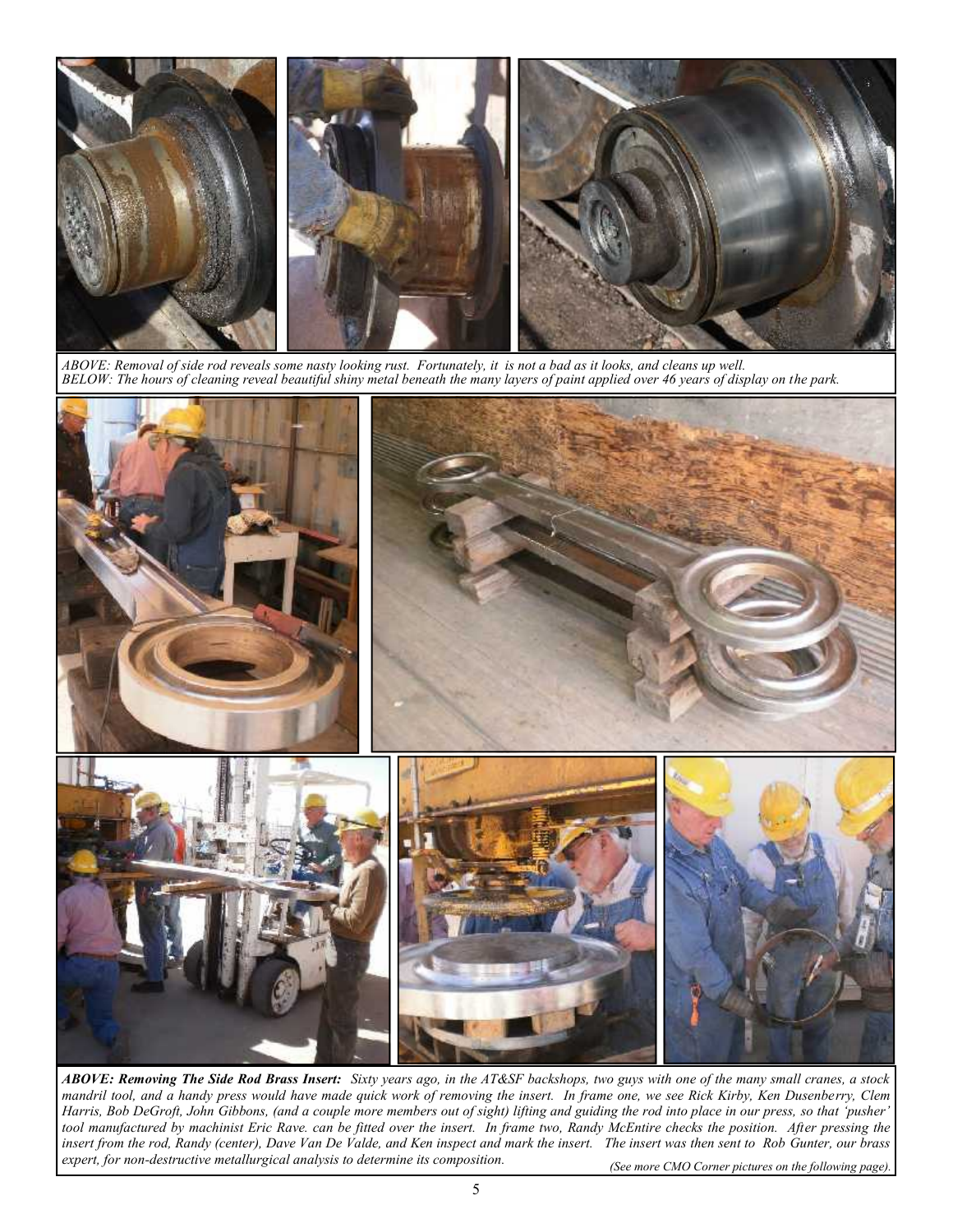

*ABOVE: Removal of side rod reveals some nasty looking rust. Fortunately, it is not a bad as it looks, and cleans up well. BELOW: The hours of cleaning reveal beautiful shiny metal beneath the many layers of paint applied over 46 years of display on the park.*



*(See more CMO Corner pictures on the following page). ABOVE: Removing The Side Rod Brass Insert: Sixty years ago, in the AT&SF backshops, two guys with one of the many small cranes, a stock mandril tool, and a handy press would have made quick work of removing the insert. In frame one, we see Rick Kirby, Ken Dusenberry, Clem Harris, Bob DeGroft, John Gibbons, (and a couple more members out of sight) lifting and guiding the rod into place in our press, so that 'pusher' tool manufactured by machinist Eric Rave. can be fitted over the insert. In frame two, Randy McEntire checks the position. After pressing the insert from the rod, Randy (center), Dave Van De Valde, and Ken inspect and mark the insert. The insert was then sent to Rob Gunter, our brass expert, for non-destructive metallurgical analysis to determine its composition.*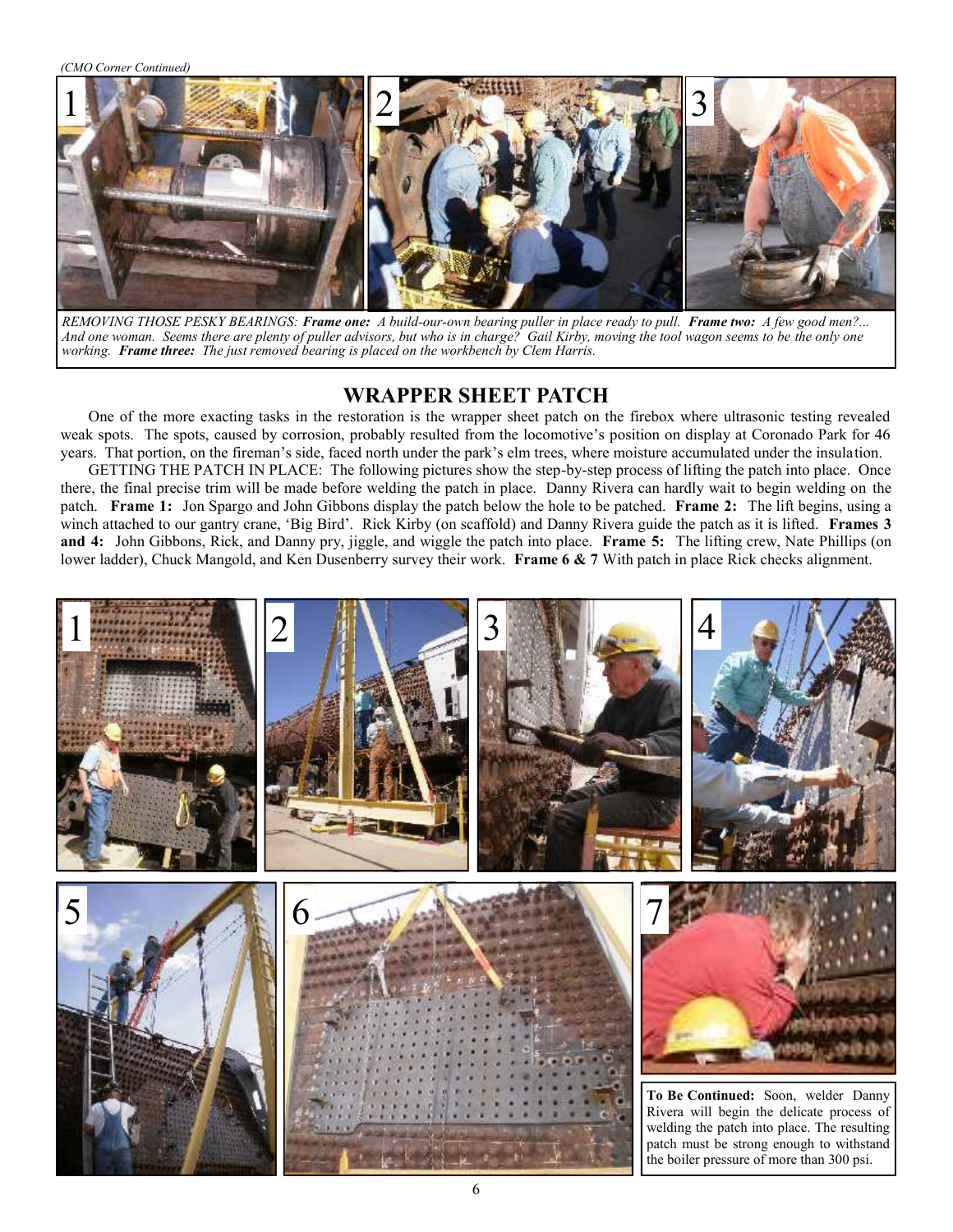*(CMO Corner Continued)*



*REMOVING THOSE PESKY BEARINGS: Frame one: A build-our-own bearing puller in place ready to pull. Frame two: A few good men?... And one woman. Seems there are plenty of puller advisors, but who is in charge? Gail Kirby, moving the tool wagon seems to be the only one working. Frame three: The just removed bearing is placed on the workbench by Clem Harris.*

### **WRAPPER SHEET PATCH**

One of the more exacting tasks in the restoration is the wrapper sheet patch on the firebox where ultrasonic testing revealed weak spots. The spots, caused by corrosion, probably resulted from the locomotive's position on display at Coronado Park for 46 years. That portion, on the fireman's side, faced north under the park's elm trees, where moisture accumulated under the insulation.

GETTING THE PATCH IN PLACE: The following pictures show the step-by-step process of lifting the patch into place. Once there, the final precise trim will be made before welding the patch in place. Danny Rivera can hardly wait to begin welding on the patch. **Frame 1:** Jon Spargo and John Gibbons display the patch below the hole to be patched. **Frame 2:** The lift begins, using a winch attached to our gantry crane, 'Big Bird'. Rick Kirby (on scaffold) and Danny Rivera guide the patch as it is lifted. **Frames 3 and 4:** John Gibbons, Rick, and Danny pry, jiggle, and wiggle the patch into place. **Frame 5:** The lifting crew, Nate Phillips (on lower ladder), Chuck Mangold, and Ken Dusenberry survey their work. **Frame 6 & 7** With patch in place Rick checks alignment.

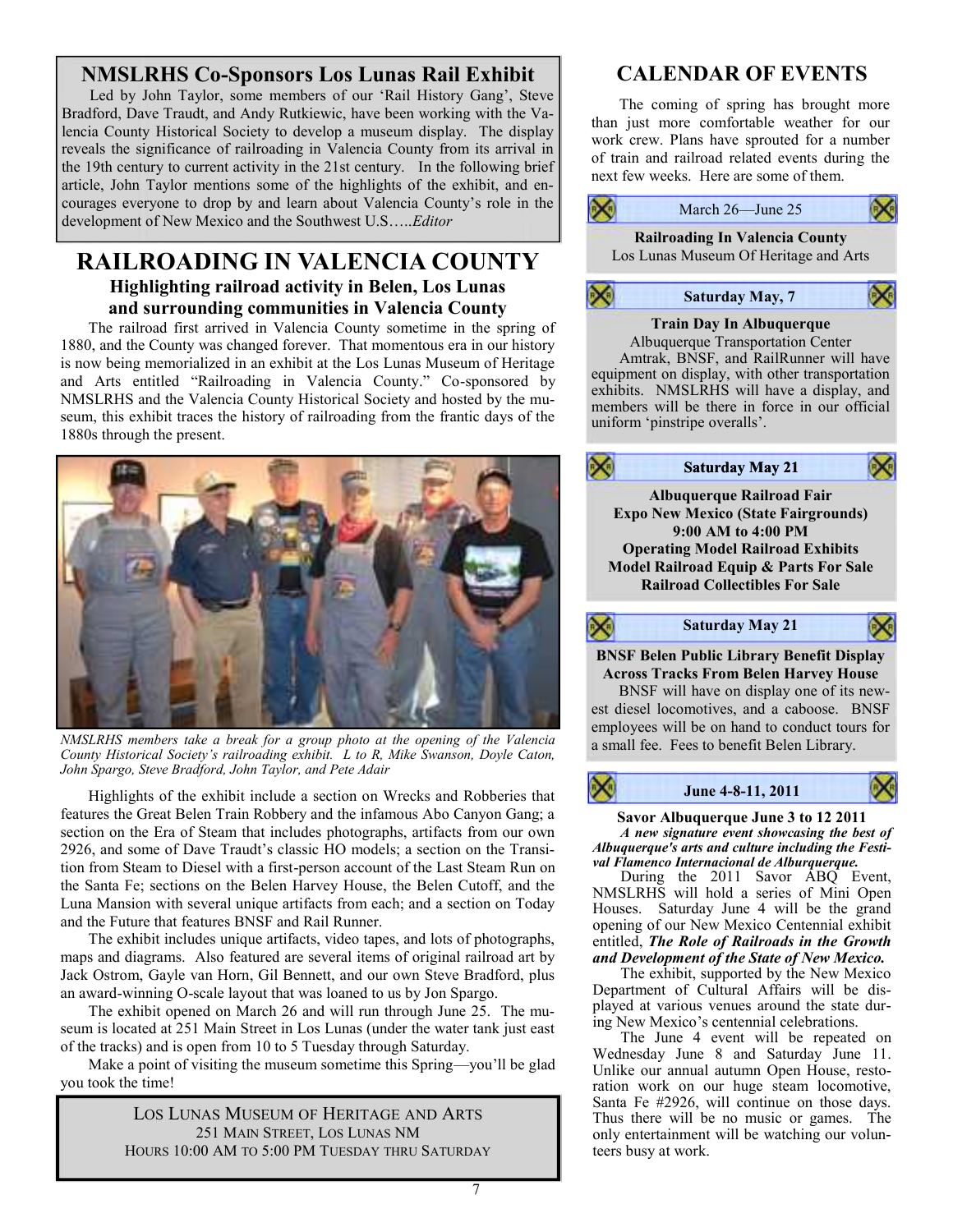## **NMSLRHS Co-Sponsors Los Lunas Rail Exhibit**

Led by John Taylor, some members of our 'Rail History Gang', Steve Bradford, Dave Traudt, and Andy Rutkiewic, have been working with the Valencia County Historical Society to develop a museum display. The display reveals the significance of railroading in Valencia County from its arrival in the 19th century to current activity in the 21st century. In the following brief article, John Taylor mentions some of the highlights of the exhibit, and encourages everyone to drop by and learn about Valencia County's role in the development of New Mexico and the Southwest U.S…..*Editor*

## **RAILROADING IN VALENCIA COUNTY Highlighting railroad activity in Belen, Los Lunas and surrounding communities in Valencia County**

The railroad first arrived in Valencia County sometime in the spring of 1880, and the County was changed forever. That momentous era in our history is now being memorialized in an exhibit at the Los Lunas Museum of Heritage and Arts entitled "Railroading in Valencia County." Co-sponsored by NMSLRHS and the Valencia County Historical Society and hosted by the museum, this exhibit traces the history of railroading from the frantic days of the 1880s through the present.



*NMSLRHS members take a break for a group photo at the opening of the Valencia County Historical Society's railroading exhibit. L to R, Mike Swanson, Doyle Caton, John Spargo, Steve Bradford, John Taylor, and Pete Adair*

Highlights of the exhibit include a section on Wrecks and Robberies that features the Great Belen Train Robbery and the infamous Abo Canyon Gang; a section on the Era of Steam that includes photographs, artifacts from our own 2926, and some of Dave Traudt's classic HO models; a section on the Transition from Steam to Diesel with a first-person account of the Last Steam Run on the Santa Fe; sections on the Belen Harvey House, the Belen Cutoff, and the Luna Mansion with several unique artifacts from each; and a section on Today and the Future that features BNSF and Rail Runner.

The exhibit includes unique artifacts, video tapes, and lots of photographs, maps and diagrams. Also featured are several items of original railroad art by Jack Ostrom, Gayle van Horn, Gil Bennett, and our own Steve Bradford, plus an award-winning O-scale layout that was loaned to us by Jon Spargo.

The exhibit opened on March 26 and will run through June 25. The museum is located at 251 Main Street in Los Lunas (under the water tank just east of the tracks) and is open from 10 to 5 Tuesday through Saturday.

Make a point of visiting the museum sometime this Spring—you'll be glad you took the time!

> LOS LUNAS MUSEUM OF HERITAGE AND ARTS 251 MAIN STREET, LOS LUNAS NM HOURS 10:00 AM TO 5:00 PM TUESDAY THRU SATURDAY

## **CALENDAR OF EVENTS**

The coming of spring has brought more than just more comfortable weather for our work crew. Plans have sprouted for a number of train and railroad related events during the next few weeks. Here are some of them.



**Savor Albuquerque June 3 to 12 2011** *A new signature event showcasing the best of Albuquerque's arts and culture including the Festival Flamenco Internacional de Alburquerque.*

During the 2011 Savor ABQ Event, NMSLRHS will hold a series of Mini Open Houses. Saturday June 4 will be the grand opening of our New Mexico Centennial exhibit entitled, *The Role of Railroads in the Growth and Development of the State of New Mexico.*

The exhibit, supported by the New Mexico Department of Cultural Affairs will be displayed at various venues around the state during New Mexico's centennial celebrations.

The June 4 event will be repeated on Wednesday June 8 and Saturday June 11. Unlike our annual autumn Open House, restoration work on our huge steam locomotive, Santa Fe #2926, will continue on those days. Thus there will be no music or games. The only entertainment will be watching our volunteers busy at work.